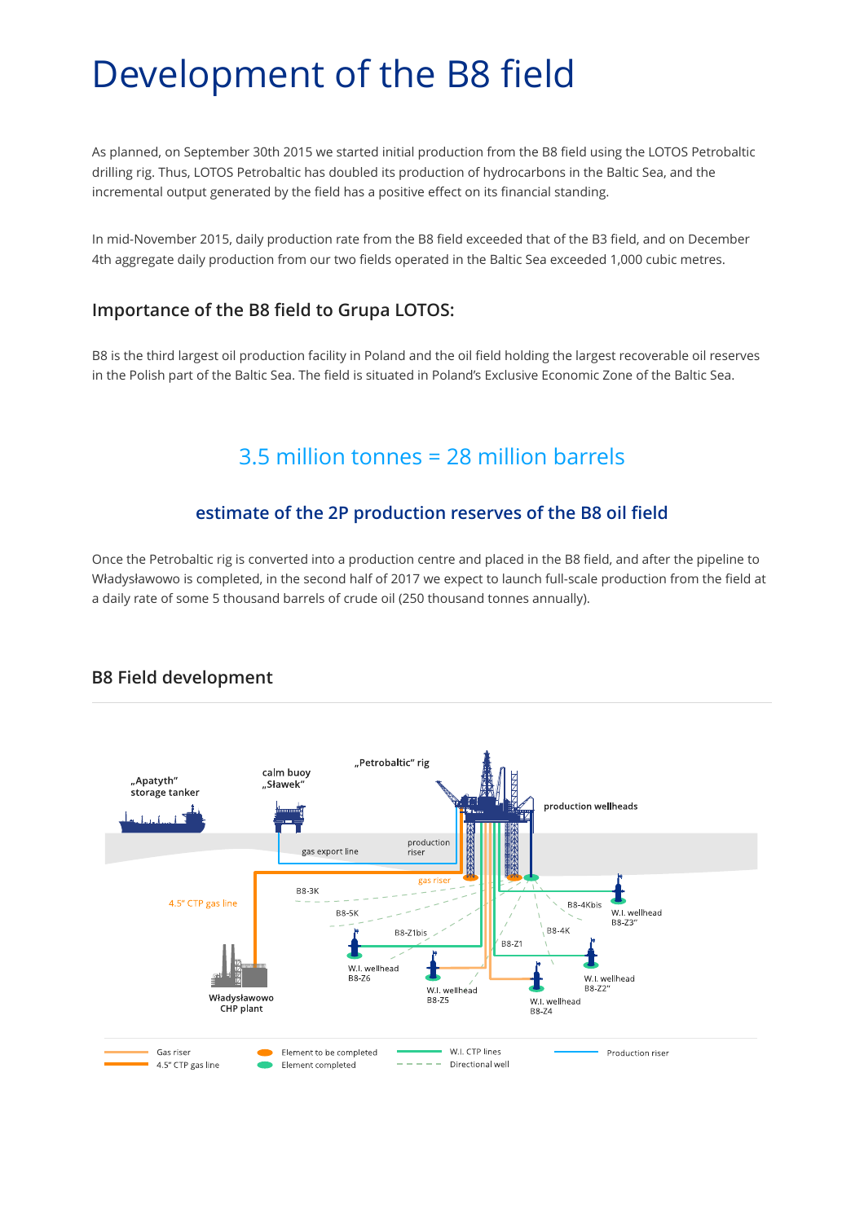# Development of the B8 field

As planned, on September 30th 2015 we started initial production from the B8 field using the LOTOS Petrobaltic drilling rig. Thus, LOTOS Petrobaltic has doubled its production of hydrocarbons in the Baltic Sea, and the incremental output generated by the field has a positive effect on its financial standing.

In mid-November 2015, daily production rate from the B8 field exceeded that of the B3 field, and on December 4th aggregate daily production from our two fields operated in the Baltic Sea exceeded 1,000 cubic metres.

#### **Importance of the B8 field to Grupa LOTOS:**

B8 is the third largest oil production facility in Poland and the oil field holding the largest recoverable oil reserves in the Polish part of the Baltic Sea. The field is situated in Poland's Exclusive Economic Zone of the Baltic Sea.

## 3.5 million tonnes = 28 million barrels

### **estimate of the 2P production reserves of the B8 oil field**

Once the Petrobaltic rig is converted into a production centre and placed in the B8 field, and after the pipeline to Władysławowo is completed, in the second half of 2017 we expect to launch full-scale production from the field at a daily rate of some 5 thousand barrels of crude oil (250 thousand tonnes annually).



## **B8 Field development**